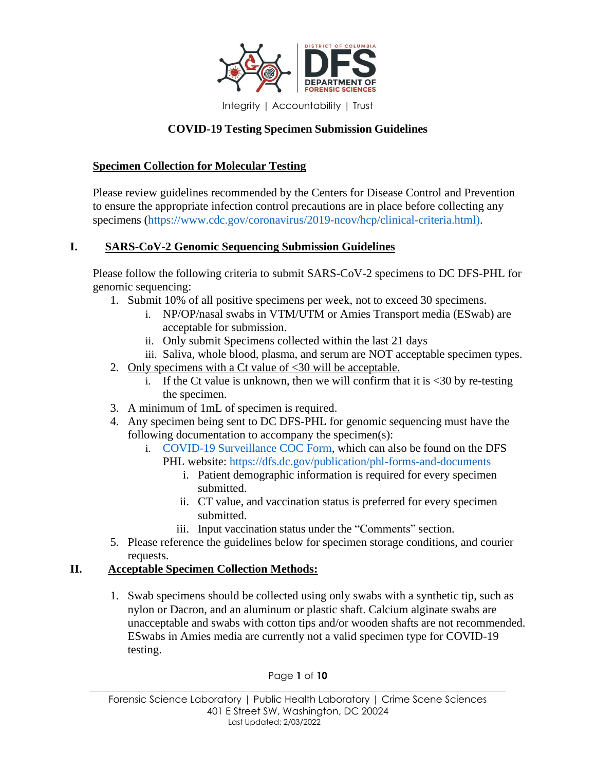

# **COVID-19 Testing Specimen Submission Guidelines**

#### **Specimen Collection for Molecular Testing**

Please review guidelines recommended by the Centers for Disease Control and Prevention to ensure the appropriate infection control precautions are in place before collecting any specimens [\(https://www.cdc.gov/coronavirus/2019-ncov/hcp/clinical-criteria.html\).](https://www.cdc.gov/coronavirus/2019-ncov/hcp/clinical-criteria.html)

### **I. SARS-CoV-2 Genomic Sequencing Submission Guidelines**

Please follow the following criteria to submit SARS-CoV-2 specimens to DC DFS-PHL for genomic sequencing:

- 1. Submit 10% of all positive specimens per week, not to exceed 30 specimens.
	- i. NP/OP/nasal swabs in VTM/UTM or Amies Transport media (ESwab) are acceptable for submission.
	- ii. Only submit Specimens collected within the last 21 days
	- iii. Saliva, whole blood, plasma, and serum are NOT acceptable specimen types.
- 2. Only specimens with a Ct value of <30 will be acceptable.
	- i. If the Ct value is unknown, then we will confirm that it is  $\langle 30 \text{ by re-testing} \rangle$ the specimen.
- 3. A minimum of 1mL of specimen is required.
- 4. Any specimen being sent to DC DFS-PHL for genomic sequencing must have the following documentation to accompany the specimen(s):
	- i. COVID-19 Surveillance COC Form, which can also be found on the DFS PHL website:<https://dfs.dc.gov/publication/phl-forms-and-documents>
		- i. Patient demographic information is required for every specimen submitted.
		- ii. CT value, and vaccination status is preferred for every specimen submitted.
		- iii. Input vaccination status under the "Comments" section.
- 5. Please reference the guidelines below for specimen storage conditions, and courier requests.

## **II. Acceptable Specimen Collection Methods:**

1. Swab specimens should be collected using only swabs with a synthetic tip, such as nylon or Dacron, and an aluminum or plastic shaft. Calcium alginate swabs are unacceptable and swabs with cotton tips and/or wooden shafts are not recommended. ESwabs in Amies media are currently not a valid specimen type for COVID-19 testing.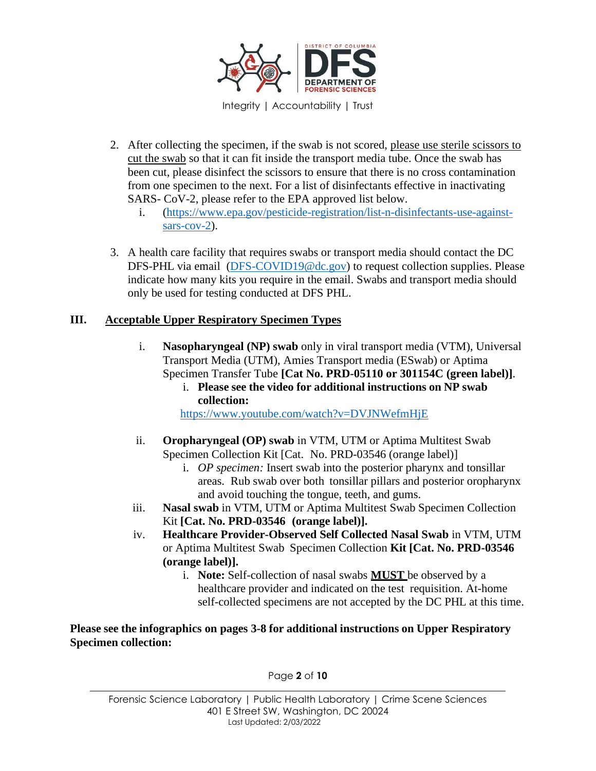

- 2. After collecting the specimen, if the swab is not scored, please use sterile scissors to cut the swab so that it can fit inside the transport media tube. Once the swab has been cut, please disinfect the scissors to ensure that there is no cross contamination from one specimen to the next. For a list of disinfectants effective in inactivating SARS- CoV-2, please refer to the EPA approved list below.
	- i. [\(https://www.epa.gov/pesticide-registration/list-n-disinfectants-use-against](https://www.epa.gov/pesticide-registration/list-n-disinfectants-use-against-sars-cov-2)[sars-cov-2\)](https://www.epa.gov/pesticide-registration/list-n-disinfectants-use-against-sars-cov-2).
- 3. A health care facility that requires swabs or transport media should contact the DC DFS-PHL via email (DFS-COVID19@dc.gov) to request collection supplies. Please indicate how many kits you require in the email. Swabs and transport media should only be used for testing conducted at DFS PHL.

### **III. Acceptable Upper Respiratory Specimen Types**

- i. **Nasopharyngeal (NP) swab** only in viral transport media (VTM), Universal Transport Media (UTM), Amies Transport media (ESwab) or Aptima Specimen Transfer Tube **[Cat No. PRD-05110 or 301154C (green label)]**.
	- i. **Please see the video for additional instructions on NP swab collection:**

http[s://www.y](http://www.youtube.com/watch?v=DVJNWefmHjE)outube.com/watch?v=DVJNWefmHjE

- ii. **Oropharyngeal (OP) swab** in VTM, UTM or Aptima Multitest Swab Specimen Collection Kit [Cat. No. PRD-03546 (orange label)]
	- i. *OP specimen:* Insert swab into the posterior pharynx and tonsillar areas. Rub swab over both tonsillar pillars and posterior oropharynx and avoid touching the tongue, teeth, and gums.
- iii. **Nasal swab** in VTM, UTM or Aptima Multitest Swab Specimen Collection Kit **[Cat. No. PRD-03546 (orange label)].**
- iv. **Healthcare Provider-Observed Self Collected Nasal Swab** in VTM, UTM or Aptima Multitest Swab Specimen Collection **Kit [Cat. No. PRD-03546 (orange label)].**
	- i. **Note:** Self-collection of nasal swabs **MUST** be observed by a healthcare provider and indicated on the test requisition. At-home self-collected specimens are not accepted by the DC PHL at this time.

**Please see the infographics on pages 3-8 for additional instructions on Upper Respiratory Specimen collection:**

Page **2** of **10**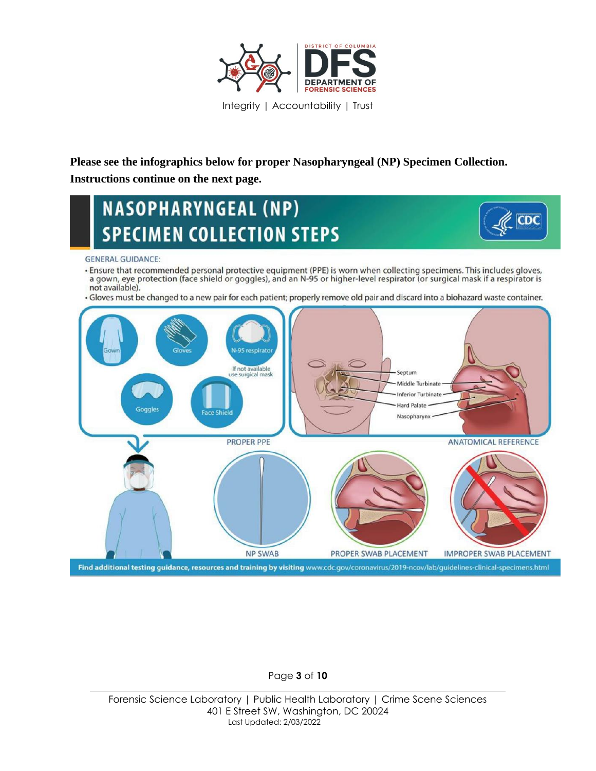

**Please see the infographics below for proper Nasopharyngeal (NP) Specimen Collection. Instructions continue on the next page.**

# **NASOPHARYNGEAL (NP) SPECIMEN COLLECTION STEPS**



#### **GENERAL GUIDANCE:**

- . Ensure that recommended personal protective equipment (PPE) is worn when collecting specimens. This includes gloves, a gown, eye protection (face shield or goggles), and an N-95 or higher-level respirator (or surgical mask if a respirator is not available).
- · Gloves must be changed to a new pair for each patient; properly remove old pair and discard into a biohazard waste container.



#### Page **3** of **10**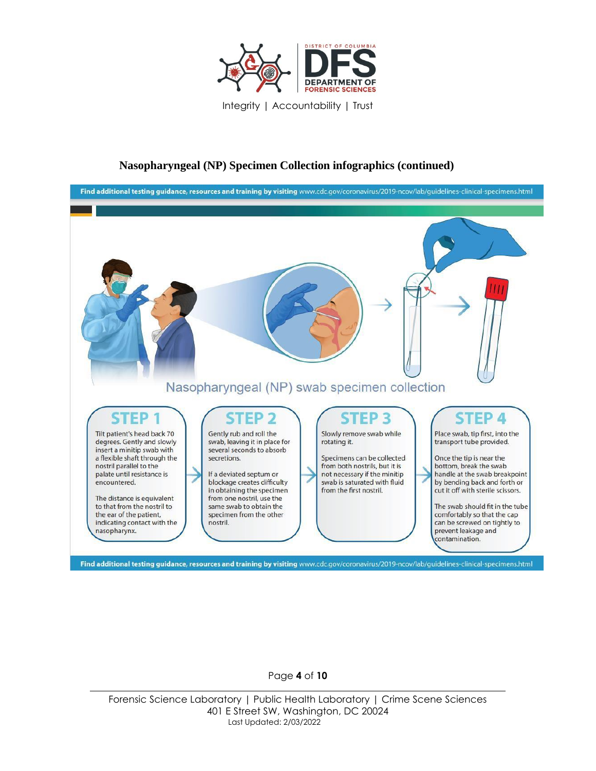

#### **Nasopharyngeal (NP) Specimen Collection infographics (continued)**



Page **4** of **10**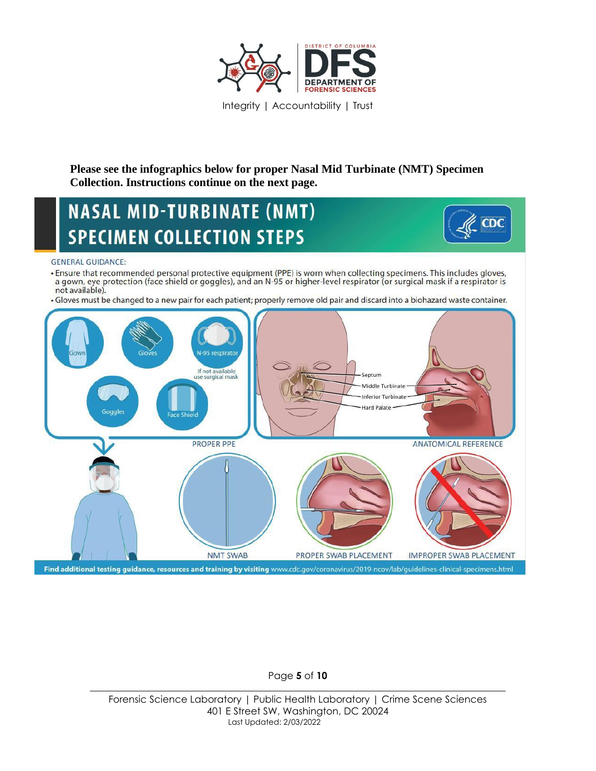

## **Please see the infographics below for proper Nasal Mid Turbinate (NMT) Specimen Collection. Instructions continue on the next page.**

# **NASAL MID-TURBINATE (NMT) SPECIMEN COLLECTION STEPS**



#### **GENERAL GUIDANCE:**

- · Ensure that recommended personal protective equipment (PPE) is worn when collecting specimens. This includes gloves, a gown, eye protection (face shield or goggles), and an N-95 or higher-level respirator (or surgical mask if a respirator is not available).
- · Gloves must be changed to a new pair for each patient; properly remove old pair and discard into a biohazard waste container.



#### Page **5** of **10**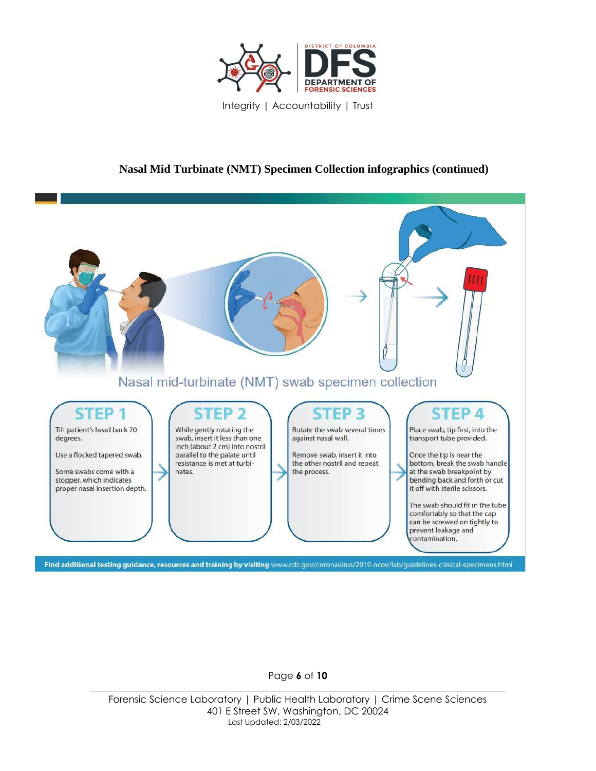

### **Nasal Mid Turbinate (NMT) Specimen Collection infographics (continued)**



Page **6** of **10**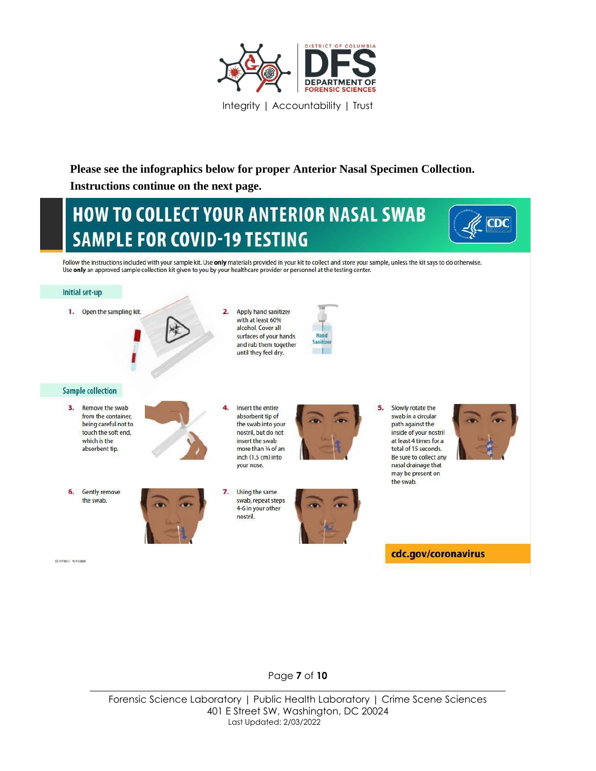

# **Please see the infographics below for proper Anterior Nasal Specimen Collection. Instructions continue on the next page.**

# **HOW TO COLLECT YOUR ANTERIOR NASAL SWAB SAMPLE FOR COVID-19 TESTING**



Follow the instructions included with your sample kit. Use only materials provided in your kit to collect and store your sample, unless the kit says to do otherwise. Use only an approved sample collection kit given to you by your healthcare provider or personnel at the testing center.



Page **7** of **10**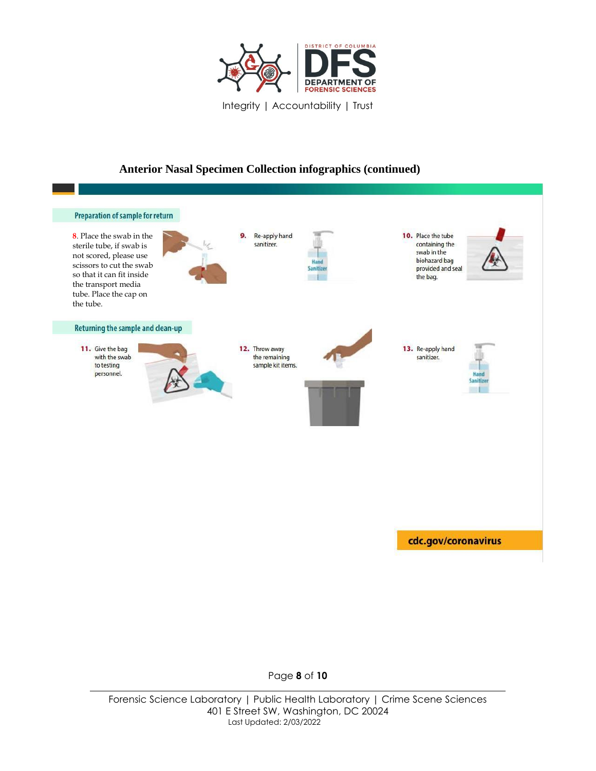

## **Anterior Nasal Specimen Collection infographics (continued)**



Page **8** of **10**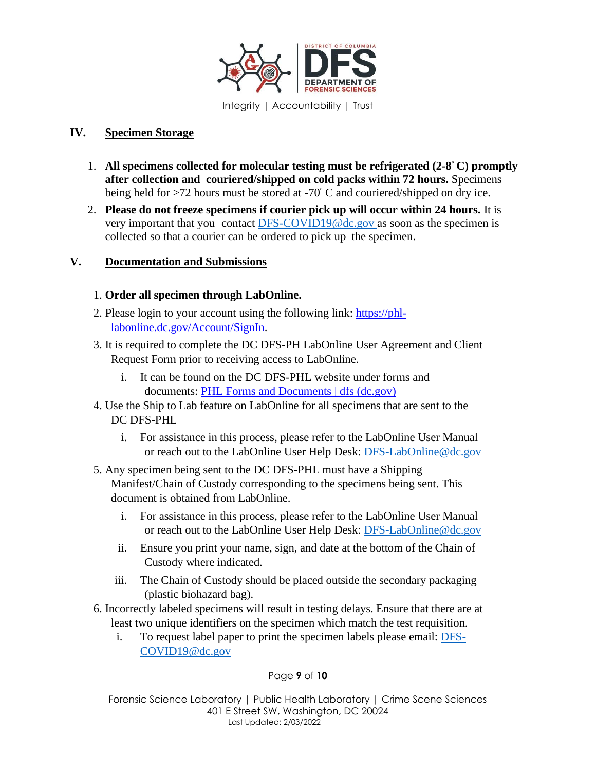

### **IV. Specimen Storage**

- 1. **All specimens collected for molecular testing must be refrigerated (2-8 <sup>ᵒ</sup> C) promptly after collection and couriered/shipped on cold packs within 72 hours.** Specimens being held for  $>72$  hours must be stored at  $-70^{\circ}$  C and couriered/shipped on dry ice.
- 2. **Please do not freeze specimens if courier pick up will occur within 24 hours.** It is very important that you contact [DFS-COVID19@dc.gov](mailto:DFS-COVID19@dc.gov) as soon as the specimen is collected so that a courier can be ordered to pick up the specimen.

### **V. Documentation and Submissions**

### 1. **Order all specimen through LabOnline.**

- 2. Please login to your account using the following link: [https://phl](https://phl-labonline.dc.gov/Account/SignIn)[labonline.dc.gov/Account/SignIn.](https://phl-labonline.dc.gov/Account/SignIn)
- 3. It is required to complete the DC DFS-PH LabOnline User Agreement and Client Request Form prior to receiving access to LabOnline.
	- i. It can be found on the DC DFS-PHL website under forms and documents: [PHL Forms and Documents | dfs \(dc.gov\)](https://dfs.dc.gov/publication/phl-forms-and-documents)
- 4. Use the Ship to Lab feature on LabOnline for all specimens that are sent to the DC DFS-PHL
	- i. For assistance in this process, please refer to the LabOnline User Manual or reach out to the LabOnline User Help Desk: DFS-LabOnline@dc.gov
- 5. Any specimen being sent to the DC DFS-PHL must have a Shipping Manifest/Chain of Custody corresponding to the specimens being sent. This document is obtained from LabOnline.
	- i. For assistance in this process, please refer to the LabOnline User Manual or reach out to the LabOnline User Help Desk: DFS-LabOnline@dc.gov
	- ii. Ensure you print your name, sign, and date at the bottom of the Chain of Custody where indicated.
	- iii. The Chain of Custody should be placed outside the secondary packaging (plastic biohazard bag).
- 6. Incorrectly labeled specimens will result in testing delays. Ensure that there are at least two unique identifiers on the specimen which match the test requisition.
	- i. To request label paper to print the specimen labels please email: [DFS-](mailto:DFS-COVID19@dc.gov)[COVID19@dc.gov](mailto:DFS-COVID19@dc.gov)

#### Page **9** of **10**